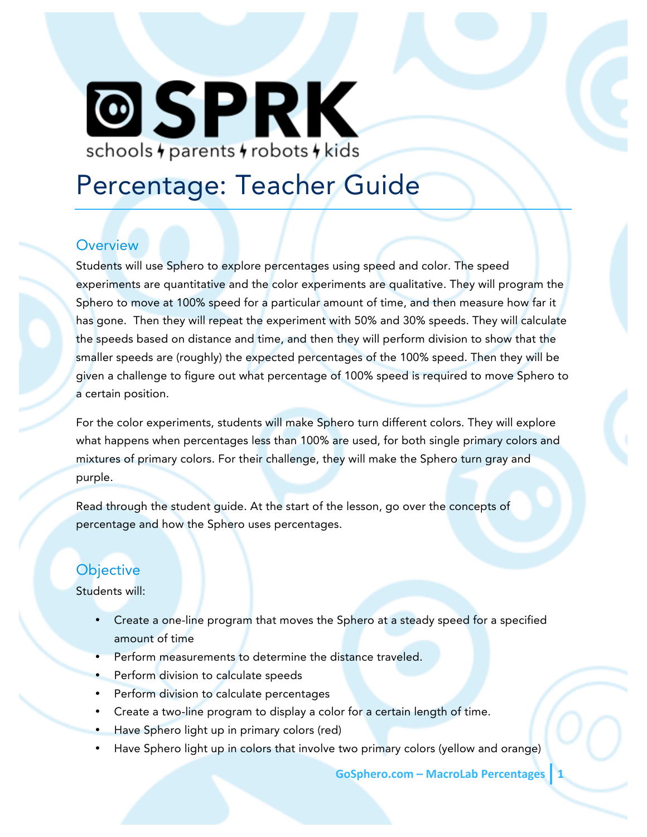# **@SPRK** schools + parents + robots + kids

# Percentage: Teacher Guide

### **Overview**

Students will use Sphero to explore percentages using speed and color. The speed experiments are quantitative and the color experiments are qualitative. They will program the Sphero to move at 100% speed for a particular amount of time, and then measure how far it has gone. Then they will repeat the experiment with 50% and 30% speeds. They will calculate the speeds based on distance and time, and then they will perform division to show that the smaller speeds are (roughly) the expected percentages of the 100% speed. Then they will be given a challenge to figure out what percentage of 100% speed is required to move Sphero to a certain position.

For the color experiments, students will make Sphero turn different colors. They will explore what happens when percentages less than 100% are used, for both single primary colors and mixtures of primary colors. For their challenge, they will make the Sphero turn gray and purple.

Read through the student guide. At the start of the lesson, go over the concepts of percentage and how the Sphero uses percentages.

# **Objective**

Students will:

- Create a one-line program that moves the Sphero at a steady speed for a specified amount of time
- Perform measurements to determine the distance traveled.
- Perform division to calculate speeds
- Perform division to calculate percentages
- Create a two-line program to display a color for a certain length of time.
- Have Sphero light up in primary colors (red)
- Have Sphero light up in colors that involve two primary colors (yellow and orange)

**GoSphero.com – MacroLab Percentages**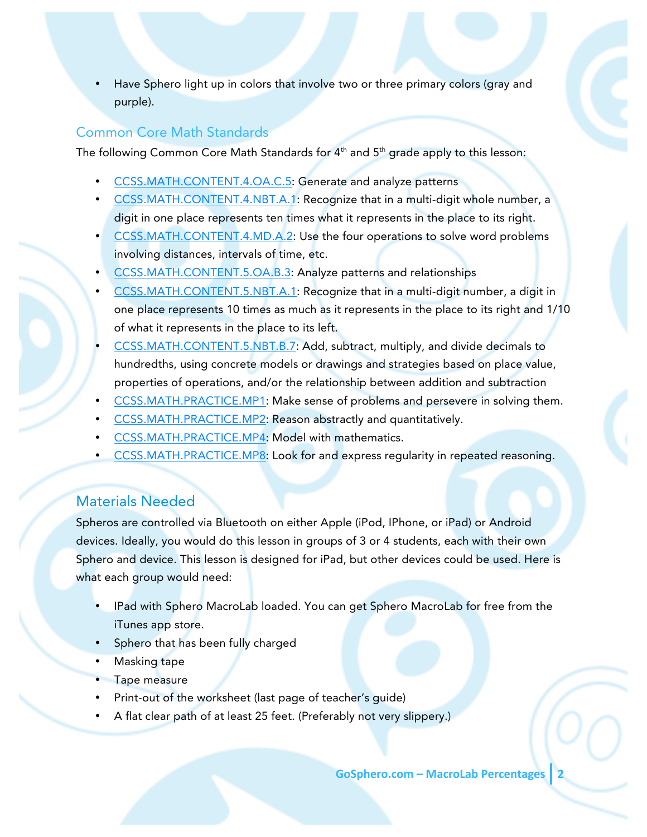Have Sphero light up in colors that involve two or three primary colors (gray and purple).

#### Common Core Math Standards

The following Common Core Math Standards for  $4<sup>th</sup>$  and  $5<sup>th</sup>$  grade apply to this lesson:

- CCSS.MATH.CONTENT.4.OA.C.5: Generate and analyze patterns
- CCSS.MATH.CONTENT.4.NBT.A.1: Recognize that in a multi-digit whole number, a digit in one place represents ten times what it represents in the place to its right.
- CCSS.MATH.CONTENT.4.MD.A.2: Use the four operations to solve word problems involving distances, intervals of time, etc.
- CCSS.MATH.CONTENT.5.OA.B.3: Analyze patterns and relationships
- CCSS.MATH.CONTENT.5.NBT.A.1: Recognize that in a multi-digit number, a digit in one place represents 10 times as much as it represents in the place to its right and 1/10 of what it represents in the place to its left.
- CCSS.MATH.CONTENT.5.NBT.B.7: Add, subtract, multiply, and divide decimals to hundredths, using concrete models or drawings and strategies based on place value, properties of operations, and/or the relationship between addition and subtraction
- CCSS.MATH.PRACTICE.MP1: Make sense of problems and persevere in solving them.
- CCSS.MATH.PRACTICE.MP2: Reason abstractly and quantitatively.
- CCSS.MATH.PRACTICE.MP4: Model with mathematics.
- CCSS.MATH.PRACTICE.MP8: Look for and express regularity in repeated reasoning.

# Materials Needed

Spheros are controlled via Bluetooth on either Apple (iPod, IPhone, or iPad) or Android devices. Ideally, you would do this lesson in groups of 3 or 4 students, each with their own Sphero and device. This lesson is designed for iPad, but other devices could be used. Here is what each group would need:

- IPad with Sphero MacroLab loaded. You can get Sphero MacroLab for free from the iTunes app store.
- Sphero that has been fully charged
- Masking tape
- Tape measure
- Print-out of the worksheet (last page of teacher's quide)
- A flat clear path of at least 25 feet. (Preferably not very slippery.)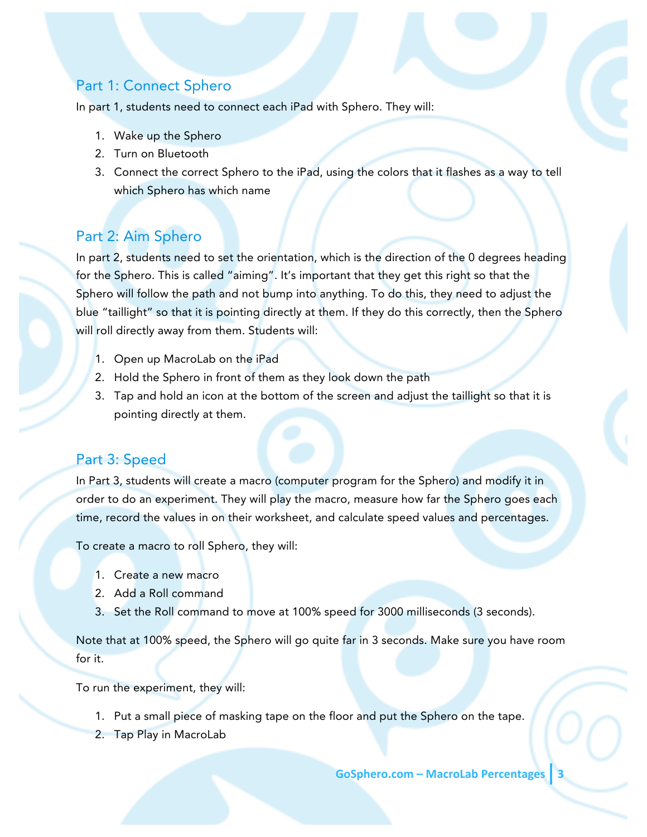## Part 1: Connect Sphero

In part 1, students need to connect each iPad with Sphero. They will:

- 1. Wake up the Sphero
- 2. Turn on Bluetooth
- 3. Connect the correct Sphero to the iPad, using the colors that it flashes as a way to tell which Sphero has which name

#### Part 2: Aim Sphero

In part 2, students need to set the orientation, which is the direction of the 0 degrees heading for the Sphero. This is called "aiming". It's important that they get this right so that the Sphero will follow the path and not bump into anything. To do this, they need to adjust the blue "taillight" so that it is pointing directly at them. If they do this correctly, then the Sphero will roll directly away from them. Students will:

- 1. Open up MacroLab on the iPad
- 2. Hold the Sphero in front of them as they look down the path
- 3. Tap and hold an icon at the bottom of the screen and adjust the taillight so that it is pointing directly at them.

#### Part 3: Speed

In Part 3, students will create a macro (computer program for the Sphero) and modify it in order to do an experiment. They will play the macro, measure how far the Sphero goes each time, record the values in on their worksheet, and calculate speed values and percentages.

To create a macro to roll Sphero, they will:

- 1. Create a new macro
- 2. Add a Roll command
- 3. Set the Roll command to move at 100% speed for 3000 milliseconds (3 seconds).

Note that at 100% speed, the Sphero will go quite far in 3 seconds. Make sure you have room for it.

To run the experiment, they will:

- 1. Put a small piece of masking tape on the floor and put the Sphero on the tape.
- 2. Tap Play in MacroLab

**GoSphero.com – MacroLab Percentages 3**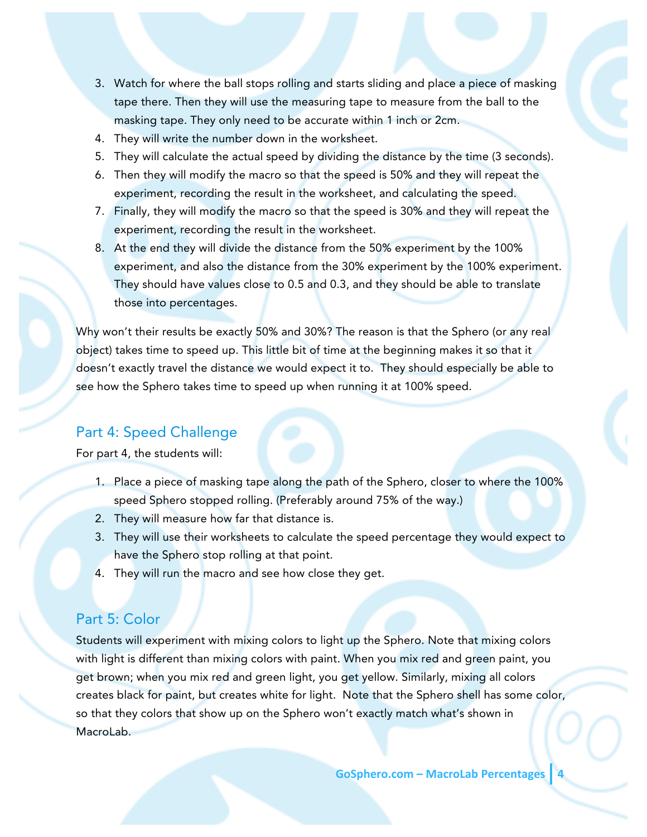- 3. Watch for where the ball stops rolling and starts sliding and place a piece of masking tape there. Then they will use the measuring tape to measure from the ball to the masking tape. They only need to be accurate within 1 inch or 2cm.
- 4. They will write the number down in the worksheet.
- 5. They will calculate the actual speed by dividing the distance by the time (3 seconds).
- 6. Then they will modify the macro so that the speed is 50% and they will repeat the experiment, recording the result in the worksheet, and calculating the speed.
- 7. Finally, they will modify the macro so that the speed is 30% and they will repeat the experiment, recording the result in the worksheet.
- 8. At the end they will divide the distance from the 50% experiment by the 100% experiment, and also the distance from the 30% experiment by the 100% experiment. They should have values close to 0.5 and 0.3, and they should be able to translate those into percentages.

Why won't their results be exactly 50% and 30%? The reason is that the Sphero (or any real object) takes time to speed up. This little bit of time at the beginning makes it so that it doesn't exactly travel the distance we would expect it to. They should especially be able to see how the Sphero takes time to speed up when running it at 100% speed.

### Part 4: Speed Challenge

For part 4, the students will:

- 1. Place a piece of masking tape along the path of the Sphero, closer to where the 100% speed Sphero stopped rolling. (Preferably around 75% of the way.)
- 2. They will measure how far that distance is.
- 3. They will use their worksheets to calculate the speed percentage they would expect to have the Sphero stop rolling at that point.
- 4. They will run the macro and see how close they get.

#### Part 5: Color

Students will experiment with mixing colors to light up the Sphero. Note that mixing colors with light is different than mixing colors with paint. When you mix red and green paint, you get brown; when you mix red and green light, you get yellow. Similarly, mixing all colors creates black for paint, but creates white for light. Note that the Sphero shell has some color, so that they colors that show up on the Sphero won't exactly match what's shown in MacroLab.